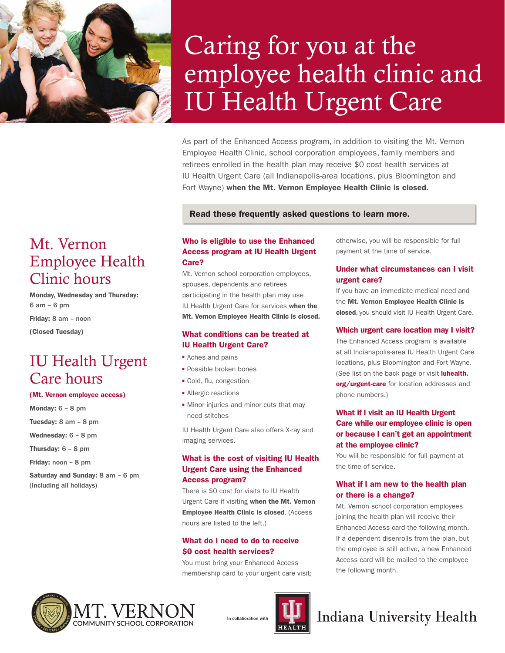

# Caring for you at the employee health clinic and IU Health Urgent Care

As part of the Enhanced Access program, in addition to visiting the Mt. Vernon Employee Health Clinic, school corporation employees, family members and retirees enrolled in the health plan may receive \$0 cost health services at IU Health Urgent Care (all Indianapolis-area locations, plus Bloomington and Fort Wayne) when the Mt. Vernon Employee Health Clinic is closed.

### Read these frequently asked questions to learn more.

# Mt. Vernon Employee Health Clinic hours

Monday, Wednesday and Thursday: 6 am – 6 pm

Friday: 8 am – noon

(Closed Tuesday)

# IU Health Urgent Care hours

### (Mt. Vernon employee access)

Monday: 6 – 8 pm Tuesday: 8 am – 8 pm Wednesday: 6 – 8 pm Thursday: 6 – 8 pm Friday: noon – 8 pm Saturday and Sunday: 8 am – 6 pm (Including all holidays)

# Who is eligible to use the Enhanced Access program at IU Health Urgent Care?

Mt. Vernon school corporation employees, spouses, dependents and retirees participating in the health plan may use IU Health Urgent Care for services when the Mt. Vernon Employee Health Clinic is closed.

### What conditions can be treated at IU Health Urgent Care?

- Aches and pains
- **Possible broken bones**
- Cold, flu, congestion
- Allergic reactions
- Minor injuries and minor cuts that may need stitches

IU Health Urgent Care also offers X-ray and imaging services.

# What is the cost of visiting IU Health Urgent Care using the Enhanced Access program?

There is \$0 cost for visits to IU Health Urgent Care if visiting when the Mt. Vernon Employee Health Clinic is closed. (Access hours are listed to the left.)

# What do I need to do to receive \$0 cost health services?

You must bring your Enhanced Access membership card to your urgent care visit;





otherwise, you will be responsible for full payment at the time of service.

# Under what circumstances can I visit urgent care?

If you have an immediate medical need and the Mt. Vernon Employee Health Clinic is closed, you should visit IU Health Urgent Care.

### Which urgent care location may I visit?

The Enhanced Access program is available at all Indianapolis-area IU Health Urgent Care locations, plus Bloomington and Fort Wayne. (See list on the back page or visit *iuhealth.* org/urgent-care for location addresses and phone numbers.)

# What if I visit an IU Health Urgent Care while our employee clinic is open or because I can't get an appointment at the employee clinic?

You will be responsible for full payment at the time of service.

# What if I am new to the health plan or there is a change?

Mt. Vernon school corporation employees joining the health plan will receive their Enhanced Access card the following month. If a dependent disenrolls from the plan, but the employee is still active, a new Enhanced Access card will be mailed to the employee the following month.

# **Indiana University Health**

In collaboration with